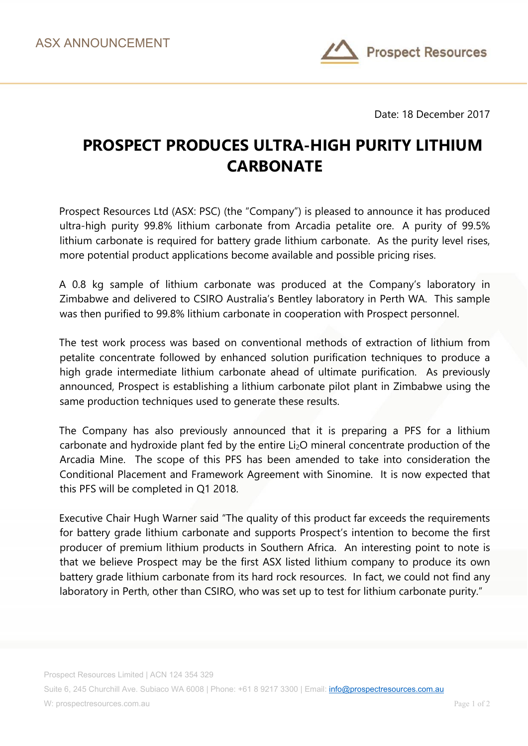

Date: 18 December 2017

## **PROSPECT PRODUCES ULTRA-HIGH PURITY LITHIUM CARBONATE**

Prospect Resources Ltd (ASX: PSC) (the "Company") is pleased to announce it has produced ultra-high purity 99.8% lithium carbonate from Arcadia petalite ore. A purity of 99.5% lithium carbonate is required for battery grade lithium carbonate. As the purity level rises, more potential product applications become available and possible pricing rises.

A 0.8 kg sample of lithium carbonate was produced at the Company's laboratory in Zimbabwe and delivered to CSIRO Australia's Bentley laboratory in Perth WA. This sample was then purified to 99.8% lithium carbonate in cooperation with Prospect personnel.

The test work process was based on conventional methods of extraction of lithium from petalite concentrate followed by enhanced solution purification techniques to produce a high grade intermediate lithium carbonate ahead of ultimate purification. As previously announced, Prospect is establishing a lithium carbonate pilot plant in Zimbabwe using the same production techniques used to generate these results.

The Company has also previously announced that it is preparing a PFS for a lithium carbonate and hydroxide plant fed by the entire Li2O mineral concentrate production of the Arcadia Mine. The scope of this PFS has been amended to take into consideration the Conditional Placement and Framework Agreement with Sinomine. It is now expected that this PFS will be completed in Q1 2018.

Executive Chair Hugh Warner said "The quality of this product far exceeds the requirements for battery grade lithium carbonate and supports Prospect's intention to become the first producer of premium lithium products in Southern Africa. An interesting point to note is that we believe Prospect may be the first ASX listed lithium company to produce its own battery grade lithium carbonate from its hard rock resources. In fact, we could not find any laboratory in Perth, other than CSIRO, who was set up to test for lithium carbonate purity."